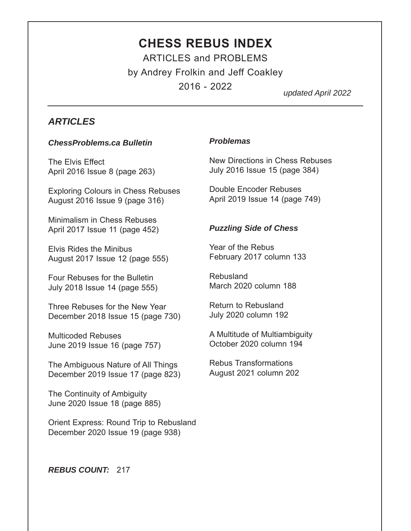# **CHESS REBUS INDEX** ARTICLES and PROBLEMS by Andrey Frolkin and Jeff Coakley

2016 - 2022

*updated April 2022*

### *ARTICLES*

#### *ChessProblems.ca Bulletin*

The Elvis Effect April 2016 Issue 8 (page 263)

Exploring Colours in Chess Rebuses August 2016 Issue 9 (page 316)

Minimalism in Chess Rebuses April 2017 Issue 11 (page 452)

Elvis Rides the Minibus August 2017 Issue 12 (page 555)

Four Rebuses for the Bulletin July 2018 Issue 14 (page 555)

Three Rebuses for the New Year December 2018 Issue 15 (page 730)

Multicoded Rebuses June 2019 Issue 16 (page 757)

The Ambiguous Nature of All Things December 2019 Issue 17 (page 823)

The Continuity of Ambiguity June 2020 Issue 18 (page 885)

Orient Express: Round Trip to Rebusland December 2020 Issue 19 (page 938)

### *Problemas*

New Directions in Chess Rebuses July 2016 Issue 15 (page 384)

Double Encoder Rebuses April 2019 Issue 14 (page 749)

### *Puzzling Side of Chess*

Year of the Rebus February 2017 column 133

Rebusland March 2020 column 188

Return to Rebusland July 2020 column 192

A Multitude of Multiambiguity October 2020 column 194

Rebus Transformations August 2021 column 202

*REBUS COUNT:* 217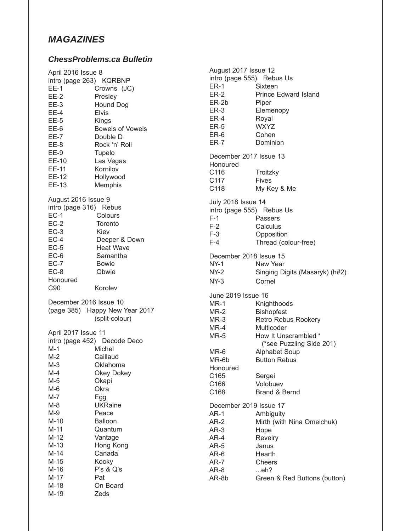## *MAGAZINES*

#### *ChessProblems.ca Bulletin*

| April 2016 Issue 8      |                                |                           | August 2017 Issue 12           |  |
|-------------------------|--------------------------------|---------------------------|--------------------------------|--|
| intro (page 263) KQRBNP |                                |                           | intro (page 555) Rebus Us      |  |
| $EE-1$                  | Crowns (JC)                    | $ER-1$                    | Sixteen                        |  |
| $EE-2$                  | Presley                        | $ER-2$                    | <b>Prince Edward Island</b>    |  |
| $EE-3$                  | Hound Dog                      | ER-2b                     | Piper                          |  |
| $EE-4$                  | <b>Elvis</b>                   | $ER-3$                    | Elemenopy                      |  |
| EE-5                    | Kings                          | ER-4                      | Royal                          |  |
| EE-6                    | <b>Bowels of Vowels</b>        | $ER-5$                    | <b>WXYZ</b>                    |  |
| $EE-7$                  | Double D                       | ER-6                      | Cohen                          |  |
| EE-8                    | Rock 'n' Roll                  | <b>ER-7</b>               | Dominion                       |  |
| EE-9                    |                                |                           |                                |  |
|                         | Tupelo                         | December 2017 Issue 13    |                                |  |
| EE-10                   | Las Vegas<br>Kornilov          | Honoured                  |                                |  |
| EE-11                   |                                | C116                      | Troitzky                       |  |
| EE-12                   | Hollywood                      | C117                      | <b>Fives</b>                   |  |
| EE-13                   | Memphis                        | C118                      | My Key & Me                    |  |
| August 2016 Issue 9     |                                | <b>July 2018 Issue 14</b> |                                |  |
| intro (page 316) Rebus  |                                |                           | intro (page 555) Rebus Us      |  |
| $EC-1$                  | Colours                        | F-1                       | Passers                        |  |
| $EC-2$                  | Toronto                        | $F-2$                     | Calculus                       |  |
| $EC-3$                  | Kiev                           | $F-3$                     | Opposition                     |  |
| $EC-4$                  | Deeper & Down                  | F-4                       | Thread (colour-free)           |  |
| $EC-5$                  | <b>Heat Wave</b>               |                           |                                |  |
| $EC-6$                  | Samantha                       | December 2018 Issue 15    |                                |  |
| $EC-7$                  | <b>Bowie</b>                   | $NY-1$                    | New Year                       |  |
| $EC-8$                  | Obwie                          | NY-2                      | Singing Digits (Masaryk) (h#2) |  |
| Honoured                |                                | $NY-3$                    | Cornel                         |  |
| C <sub>90</sub>         | Korolev                        |                           |                                |  |
|                         |                                | June 2019 Issue 16        |                                |  |
| December 2016 Issue 10  |                                | $MR-1$                    | Knighthoods                    |  |
|                         | (page 385) Happy New Year 2017 | $MR-2$                    | <b>Bishopfest</b>              |  |
|                         | (split-colour)                 | $MR-3$                    | Retro Rebus Rookery            |  |
|                         |                                | $MR-4$                    | Multicoder                     |  |
| April 2017 Issue 11     |                                | $MR-5$                    | How It Unscrambled *           |  |
|                         | intro (page 452) Decode Deco   |                           | (*see Puzzling Side 201)       |  |
| $M-1$                   | Michel                         | MR-6                      | Alphabet Soup                  |  |
| $M-2$                   | Caillaud                       | MR-6b                     | <b>Button Rebus</b>            |  |
| $M-3$                   | Oklahoma                       | Honoured                  |                                |  |
| $M-4$                   | Okey Dokey                     | C165                      | Sergei                         |  |
| $M-5$                   | Okapi                          | C166                      | Volobuev                       |  |
| $M-6$                   | Okra                           | C168                      | Brand & Bernd                  |  |
| $M-7$                   | Egg                            |                           |                                |  |
| $M-8$                   | <b>UKRaine</b>                 | December 2019 Issue 17    |                                |  |
| $M-9$                   | Peace                          | $AR-1$                    | Ambiguity                      |  |
| $M-10$                  | <b>Balloon</b>                 | $AR-2$                    | Mirth (with Nina Omelchuk)     |  |
| $M-11$                  | Quantum                        | $AR-3$                    | Hope                           |  |
| $M-12$                  | Vantage                        | AR-4                      | Revelry                        |  |
| $M-13$                  | Hong Kong                      | $AR-5$                    | Janus                          |  |
| $M-14$                  | Canada                         | $AR-6$                    | Hearth                         |  |
| $M-15$                  | Kooky                          | AR-7                      | <b>Cheers</b>                  |  |
| $M-16$                  | P's & Q's                      | AR-8                      | eh?                            |  |
| $M-17$                  | Pat                            | AR-8b                     | Green & Red Buttons (button)   |  |
| $M-18$                  | On Board                       |                           |                                |  |
| $M-19$                  | Zeds                           |                           |                                |  |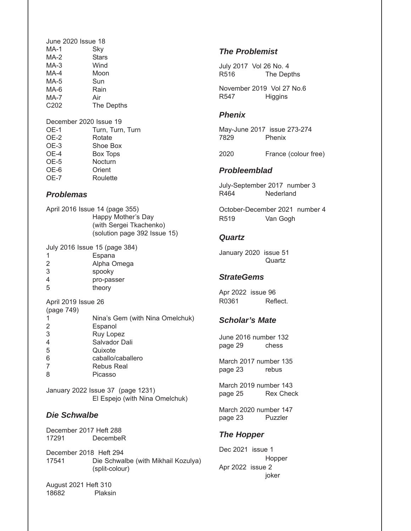| June 2020 Issue 18 |              |
|--------------------|--------------|
| MA-1               | Sky          |
| MA-2               | <b>Stars</b> |
| $MA-3$             | Wind         |
| $MA-4$             | Moon         |
| MA-5               | Sun          |
| MA-6               | Rain         |
| <b>MA-7</b>        | Air          |
| C <sub>202</sub>   | The Depths   |
|                    |              |

#### December 2020 Issue 19

| OE-1        | Turn, Turn, Turn |
|-------------|------------------|
| OE-2        | Rotate           |
| OE-3        | Shoe Box         |
| OE-4        | <b>Box Tops</b>  |
| OE-5        | Nocturn          |
| OE-6        | Orient           |
| <b>OE-7</b> | Roulette         |
|             |                  |

#### *Problemas*

| April 2016 Issue 14 (page 355) |  |  |  |
|--------------------------------|--|--|--|
| Happy Mother's Day             |  |  |  |
| (with Sergei Tkachenko)        |  |  |  |
| (solution page 392 Issue 15)   |  |  |  |
|                                |  |  |  |

July 2016 Issue 15 (page 384)

- 2 Alpha Omega
- 3 spooky
- 4 pro-passer
- 5 theory

April 2019 Issue 26  $(22.277)$ 

| (page /49) |                                 |
|------------|---------------------------------|
| 1          | Nina's Gem (with Nina Omelchuk) |
| 2          | Espanol                         |
| 3          | Ruy Lopez                       |
| 4          | Salvador Dali                   |
| 5          | Quixote                         |
| 6          | caballo/caballero               |
| 7          | <b>Rebus Real</b>               |
| 8          | Picasso                         |

January 2022 Issue 37 (page 1231) El Espejo (with Nina Omelchuk)

#### *Die Schwalbe*

December 2017 Heft 288 17291 DecembeR

December 2018 Heft 294 17541 Die Schwalbe (with Mikhail Kozulya) (split-colour)

August 2021 Heft 310 18682 Plaksin

### *The Problemist*

July 2017 Vol 26 No. 4 R516 The Depths

November 2019 Vol 27 No.6 R547 Higgins

#### *Phenix*

May-June 2017 issue 273-274 Phenix

2020 France (colour free)

#### *Probleemblad*

July-September 2017 number 3 Nederland

October-December 2021 number 4 R519 Van Gogh

#### *Quartz*

January 2020 issue 51 **Quartz** 

#### *StrateGems*

Apr 2022 issue 96 R0361 Reflect.

#### *Scholar's Mate*

June 2016 number 132 page 29 chess

March 2017 number 135 page 23 rebus

March 2019 number 143 page 25 Rex Check

March 2020 number 147 page 23 Puzzler

#### *The Hopper*

Dec 2021 issue 1 Hopper Apr 2022 issue 2 joker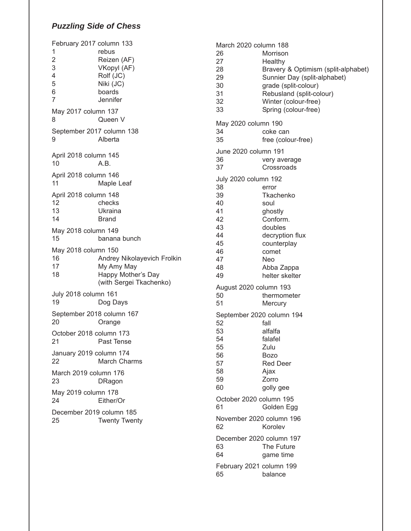### *Puzzling Side of Chess*

| February 2017 column 133<br>1<br>$\overline{2}$<br>3<br>4<br>5<br>6<br>7 | rebus<br>Reizen (AF)<br>VKopyl (AF)<br>Rolf (JC)<br>Niki (JC)<br>boards<br>Jennifer        |
|--------------------------------------------------------------------------|--------------------------------------------------------------------------------------------|
| May 2017 column 137<br>8                                                 | Queen V                                                                                    |
| September 2017 column 138<br>9                                           | Alberta                                                                                    |
| April 2018 column 145<br>10                                              | A.B.                                                                                       |
| April 2018 column 146<br>11                                              | Maple Leaf                                                                                 |
| April 2018 column 148<br>12<br>13<br>14                                  | checks<br>Ukraina<br>Brand                                                                 |
| May 2018 column 149<br>15                                                | banana bunch                                                                               |
| May 2018 column 150<br>16<br>17<br>18                                    | Andrey Nikolayevich Frolkin<br>My Amy May<br>Happy Mother's Day<br>(with Sergei Tkachenko) |
| July 2018 column 161<br>19                                               | Dog Days                                                                                   |
| September 2018 column 167<br>20                                          | Orange                                                                                     |
| October 2018 column 173<br>21                                            | Past Tense                                                                                 |
| January 2019 column 174<br>22                                            | <b>March Charms</b>                                                                        |
| March 2019 column 176<br>23                                              | DRagon                                                                                     |
| May 2019 column 178<br>24                                                | Either/Or                                                                                  |
| December 2019 column 185<br>25                                           | <b>Twenty Twenty</b>                                                                       |

| March 2020 column 188<br>26<br>27<br>28<br>29<br>30<br>31<br>32<br>33                        | Morrison<br>Healthy<br>Bravery & Optimism (split-alphabet)<br>Sunnier Day (split-alphabet)<br>grade (split-colour)<br>Rebusland (split-colour)<br>Winter (colour-free)<br>Spring (colour-free) |
|----------------------------------------------------------------------------------------------|------------------------------------------------------------------------------------------------------------------------------------------------------------------------------------------------|
| May 2020 column 190<br>34<br>35                                                              | coke can<br>free (colour-free)                                                                                                                                                                 |
| June 2020 column 191<br>36<br>37                                                             | very average<br>Crossroads                                                                                                                                                                     |
| July 2020 column 192<br>38<br>39<br>40<br>41<br>42<br>43<br>44<br>45<br>46<br>47<br>48<br>49 | error<br>Tkachenko<br>soul<br>ghostly<br>Conform.<br>doubles<br>decryption flux<br>counterplay<br>comet<br>Neo<br>Abba Zappa<br>helter skelter                                                 |
| August 2020 column 193<br>50<br>51                                                           | thermometer<br>Mercury                                                                                                                                                                         |
| September 2020 column 194<br>52<br>53<br>54<br>55<br>56<br>57<br>58<br>59<br>60              | fall<br>alfalfa<br>falafel<br>Zulu<br><b>Bozo</b><br><b>Red Deer</b><br>Ajax<br>Zorro<br>golly gee                                                                                             |
| October 2020 column 195<br>61                                                                | Golden Egg                                                                                                                                                                                     |
| November 2020 column 196<br>62                                                               | Korolev                                                                                                                                                                                        |
| December 2020 column 197<br>63<br>64                                                         | The Future<br>game time                                                                                                                                                                        |
| February 2021 column 199<br>65                                                               | balance                                                                                                                                                                                        |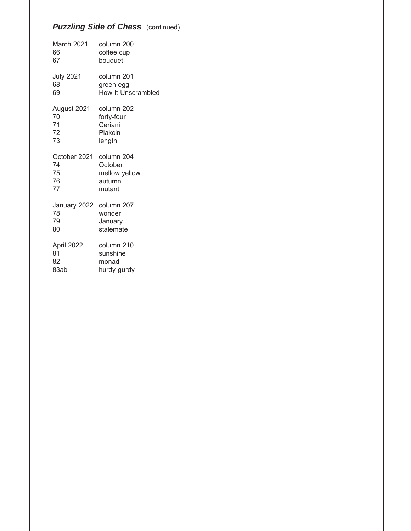### *Puzzling Side of Chess (continued)*

| March 2021       | column 200         |
|------------------|--------------------|
| 66               | coffee cup         |
| 67               | bouquet            |
| <b>July 2021</b> | column 201         |
| 68               | green egg          |
| 69               | How It Unscrambled |
| August 2021      | column 202         |
| 70               | forty-four         |
| 71               | Ceriani            |
| 72               | Plakcin            |
| 73               | length             |
| October 2021     | column 204         |
| 74               | October            |
| 75               | mellow yellow      |
| 76               | autumn             |
| 77               | mutant             |
| January 2022     | column 207         |
| 78               | wonder             |
| 79               | January            |
| 80               | stalemate          |
| April 2022       | column 210         |
| 81               | sunshine           |
| 82               | monad              |
| 83ab             | hurdy-gurdy        |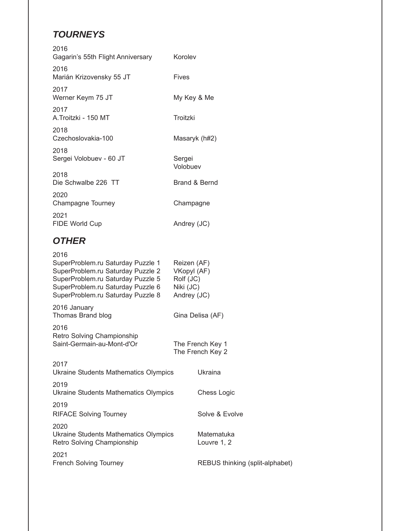# *TOURNEYS*

| 2016<br>Gagarin's 55th Flight Anniversary | Korolev            |
|-------------------------------------------|--------------------|
| 2016<br>Marián Krizovensky 55 JT          | Fives              |
| 2017<br>Werner Keym 75 JT                 | My Key & Me        |
| 2017<br>A.Troitzki - 150 MT               | Troitzki           |
| 2018<br>Czechoslovakia-100                | Masaryk (h#2)      |
| 2018<br>Sergei Volobuev - 60 JT           | Sergei<br>Volobuev |
| 2018<br>Die Schwalbe 226 TT               | Brand & Bernd      |
| 2020<br>Champagne Tourney                 | Champagne          |
| 2021<br>FIDE World Cup                    | Andrey (JC)        |
|                                           |                    |

## *OTHER*

| 2016<br>SuperProblem.ru Saturday Puzzle 1<br>SuperProblem.ru Saturday Puzzle 2<br>SuperProblem.ru Saturday Puzzle 5<br>SuperProblem.ru Saturday Puzzle 6<br>SuperProblem.ru Saturday Puzzle 8 | Reizen (AF)<br>VKopyl (AF)<br>Rolf (JC)<br>Niki (JC)<br>Andrey (JC) |                                 |
|-----------------------------------------------------------------------------------------------------------------------------------------------------------------------------------------------|---------------------------------------------------------------------|---------------------------------|
| 2016 January<br>Thomas Brand blog                                                                                                                                                             | Gina Delisa (AF)                                                    |                                 |
| 2016<br>Retro Solving Championship<br>Saint-Germain-au-Mont-d'Or                                                                                                                              | The French Key 1                                                    | The French Key 2                |
| 2017<br>Ukraine Students Mathematics Olympics                                                                                                                                                 |                                                                     | Ukraina                         |
| 2019<br>Ukraine Students Mathematics Olympics                                                                                                                                                 |                                                                     | Chess Logic                     |
| 2019<br><b>RIFACE Solving Tourney</b>                                                                                                                                                         |                                                                     | Solve & Evolve                  |
| 2020<br>Ukraine Students Mathematics Olympics<br>Retro Solving Championship                                                                                                                   |                                                                     | Matematuka<br>Louvre 1, 2       |
| 2021<br><b>French Solving Tourney</b>                                                                                                                                                         |                                                                     | REBUS thinking (split-alphabet) |
|                                                                                                                                                                                               |                                                                     |                                 |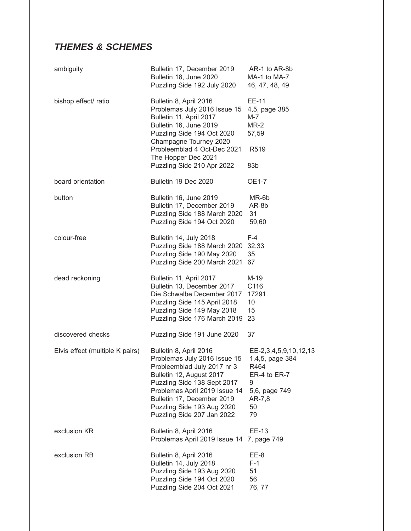# *THEMES & SCHEMES*

| ambiguity                       | Bulletin 17, December 2019<br>Bulletin 18, June 2020<br>Puzzling Side 192 July 2020                                                                                                                                                                                         | AR-1 to AR-8b<br>MA-1 to MA-7<br>46, 47, 48, 49                                                              |
|---------------------------------|-----------------------------------------------------------------------------------------------------------------------------------------------------------------------------------------------------------------------------------------------------------------------------|--------------------------------------------------------------------------------------------------------------|
| bishop effect/ ratio            | Bulletin 8, April 2016<br>Problemas July 2016 Issue 15<br>Bulletin 11, April 2017<br>Bulletin 16, June 2019<br>Puzzling Side 194 Oct 2020<br>Champagne Tourney 2020<br>Probleemblad 4 Oct-Dec 2021<br>The Hopper Dec 2021<br>Puzzling Side 210 Apr 2022                     | EE-11<br>4,5, page 385<br>M-7<br>$MR-2$<br>57,59<br>R519<br>83b                                              |
| board orientation               | Bulletin 19 Dec 2020                                                                                                                                                                                                                                                        | <b>OE1-7</b>                                                                                                 |
| button                          | Bulletin 16, June 2019<br>Bulletin 17, December 2019<br>Puzzling Side 188 March 2020<br>Puzzling Side 194 Oct 2020                                                                                                                                                          | MR-6b<br>AR-8b<br>31<br>59,60                                                                                |
| colour-free                     | Bulletin 14, July 2018<br>Puzzling Side 188 March 2020<br>Puzzling Side 190 May 2020<br>Puzzling Side 200 March 2021                                                                                                                                                        | $F-4$<br>32,33<br>35<br>67                                                                                   |
| dead reckoning                  | Bulletin 11, April 2017<br>Bulletin 13, December 2017<br>Die Schwalbe December 2017<br>Puzzling Side 145 April 2018<br>Puzzling Side 149 May 2018<br>Puzzling Side 176 March 2019                                                                                           | M-19<br>C116<br>17291<br>10<br>15<br>23                                                                      |
| discovered checks               | Puzzling Side 191 June 2020                                                                                                                                                                                                                                                 | 37                                                                                                           |
| Elvis effect (multiple K pairs) | Bulletin 8, April 2016<br>Problemas July 2016 Issue 15<br>Probleemblad July 2017 nr 3<br>Bulletin 12, August 2017<br>Puzzling Side 138 Sept 2017<br>Problemas April 2019 Issue 14<br>Bulletin 17, December 2019<br>Puzzling Side 193 Aug 2020<br>Puzzling Side 207 Jan 2022 | EE-2,3,4,5,9,10,12,13<br>1.4,5, page 384<br>R464<br>ER-4 to ER-7<br>9<br>5,6, page 749<br>AR-7,8<br>50<br>79 |
| exclusion KR                    | Bulletin 8, April 2016<br>Problemas April 2019 Issue 14                                                                                                                                                                                                                     | EE-13<br>7, page 749                                                                                         |
| exclusion RB                    | Bulletin 8, April 2016<br>Bulletin 14, July 2018<br>Puzzling Side 193 Aug 2020<br>Puzzling Side 194 Oct 2020<br>Puzzling Side 204 Oct 2021                                                                                                                                  | EE-8<br>$F-1$<br>51<br>56<br>76, 77                                                                          |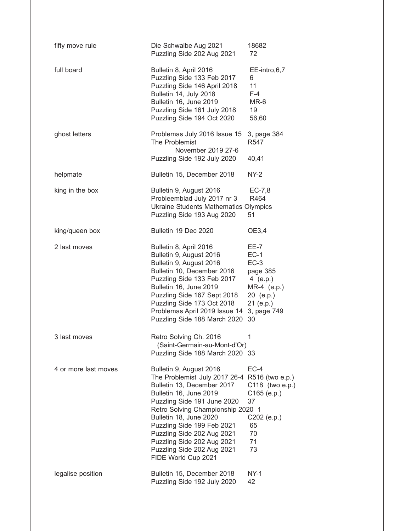| fifty move rule      | Die Schwalbe Aug 2021<br>Puzzling Side 202 Aug 2021                                                                                                                                                                                                                                                                                                                           | 18682<br>72                                                                                                    |
|----------------------|-------------------------------------------------------------------------------------------------------------------------------------------------------------------------------------------------------------------------------------------------------------------------------------------------------------------------------------------------------------------------------|----------------------------------------------------------------------------------------------------------------|
| full board           | Bulletin 8, April 2016<br>Puzzling Side 133 Feb 2017<br>Puzzling Side 146 April 2018<br>Bulletin 14, July 2018<br>Bulletin 16, June 2019<br>Puzzling Side 161 July 2018<br>Puzzling Side 194 Oct 2020                                                                                                                                                                         | EE-intro,6,7<br>6<br>11<br>$F-4$<br>MR-6<br>19<br>56,60                                                        |
| ghost letters        | Problemas July 2016 Issue 15<br>The Problemist<br>November 2019 27-6<br>Puzzling Side 192 July 2020                                                                                                                                                                                                                                                                           | 3, page 384<br>R547<br>40,41                                                                                   |
| helpmate             | Bulletin 15, December 2018                                                                                                                                                                                                                                                                                                                                                    | $NY-2$                                                                                                         |
| king in the box      | Bulletin 9, August 2016<br>Probleemblad July 2017 nr 3<br><b>Ukraine Students Mathematics Olympics</b><br>Puzzling Side 193 Aug 2020                                                                                                                                                                                                                                          | $EC-7,8$<br>R464<br>51                                                                                         |
| king/queen box       | Bulletin 19 Dec 2020                                                                                                                                                                                                                                                                                                                                                          | OE3,4                                                                                                          |
| 2 last moves         | Bulletin 8, April 2016<br>Bulletin 9, August 2016<br>Bulletin 9, August 2016<br>Bulletin 10, December 2016<br>Puzzling Side 133 Feb 2017<br>Bulletin 16, June 2019<br>Puzzling Side 167 Sept 2018<br>Puzzling Side 173 Oct 2018<br>Problemas April 2019 Issue 14<br>Puzzling Side 188 March 2020                                                                              | EE-7<br>$EC-1$<br>$EC-3$<br>page 385<br>4 (e.p.)<br>MR-4 (e.p.)<br>20 (e.p.)<br>21 (e.p.)<br>3, page 749<br>30 |
| 3 last moves         | Retro Solving Ch. 2016<br>(Saint-Germain-au-Mont-d'Or)<br>Puzzling Side 188 March 2020 33                                                                                                                                                                                                                                                                                     | 1                                                                                                              |
| 4 or more last moves | Bulletin 9, August 2016<br>The Problemist July 2017 26-4 R516 (two e.p.)<br>Bulletin 13, December 2017<br>Bulletin 16, June 2019<br>Puzzling Side 191 June 2020<br>Retro Solving Championship 2020 1<br>Bulletin 18, June 2020<br>Puzzling Side 199 Feb 2021<br>Puzzling Side 202 Aug 2021<br>Puzzling Side 202 Aug 2021<br>Puzzling Side 202 Aug 2021<br>FIDE World Cup 2021 | $EC-4$<br>C118 (two e.p.)<br>$C165$ (e.p.)<br>37<br>C202 (e.p.)<br>65<br>70<br>71<br>73                        |
| legalise position    | Bulletin 15, December 2018<br>Puzzling Side 192 July 2020                                                                                                                                                                                                                                                                                                                     | $NY-1$<br>42                                                                                                   |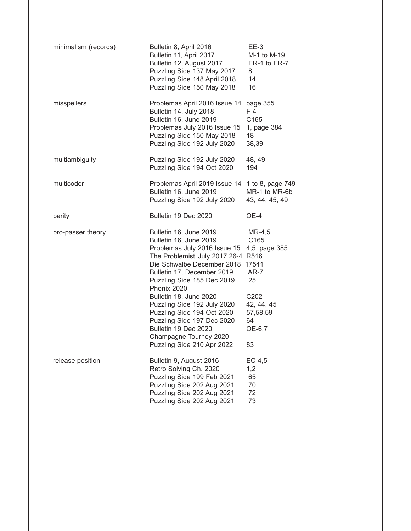| minimalism (records) | Bulletin 8, April 2016<br>Bulletin 11, April 2017<br>Bulletin 12, August 2017<br>Puzzling Side 137 May 2017<br>Puzzling Side 148 April 2018<br>Puzzling Side 150 May 2018                                                                                                                                                                                                                              | $EE-3$<br>M-1 to M-19<br>ER-1 to ER-7<br>8<br>14<br>16                                                     |
|----------------------|--------------------------------------------------------------------------------------------------------------------------------------------------------------------------------------------------------------------------------------------------------------------------------------------------------------------------------------------------------------------------------------------------------|------------------------------------------------------------------------------------------------------------|
| misspellers          | Problemas April 2016 Issue 14<br>Bulletin 14, July 2018<br>Bulletin 16, June 2019<br>Problemas July 2016 Issue 15<br>Puzzling Side 150 May 2018<br>Puzzling Side 192 July 2020                                                                                                                                                                                                                         | page 355<br>$F-4$<br>C165<br>1, page 384<br>18<br>38,39                                                    |
| multiambiguity       | Puzzling Side 192 July 2020<br>Puzzling Side 194 Oct 2020                                                                                                                                                                                                                                                                                                                                              | 48, 49<br>194                                                                                              |
| multicoder           | Problemas April 2019 Issue 14<br>Bulletin 16, June 2019<br>Puzzling Side 192 July 2020                                                                                                                                                                                                                                                                                                                 | 1 to 8, page 749<br>MR-1 to MR-6b<br>43, 44, 45, 49                                                        |
| parity               | Bulletin 19 Dec 2020                                                                                                                                                                                                                                                                                                                                                                                   | OE-4                                                                                                       |
| pro-passer theory    | Bulletin 16, June 2019<br>Bulletin 16, June 2019<br>Problemas July 2016 Issue 15<br>The Problemist July 2017 26-4 R516<br>Die Schwalbe December 2018<br>Bulletin 17, December 2019<br>Puzzling Side 185 Dec 2019<br>Phenix 2020<br>Bulletin 18, June 2020<br>Puzzling Side 192 July 2020<br>Puzzling Side 194 Oct 2020<br>Puzzling Side 197 Dec 2020<br>Bulletin 19 Dec 2020<br>Champagne Tourney 2020 | $MR-4,5$<br>C165<br>4,5, page 385<br>17541<br>AR-7<br>25<br>C202<br>42, 44, 45<br>57,58,59<br>64<br>OE-6,7 |
|                      | Puzzling Side 210 Apr 2022                                                                                                                                                                                                                                                                                                                                                                             | 83                                                                                                         |
| release position     | Bulletin 9, August 2016<br>Retro Solving Ch. 2020<br>Puzzling Side 199 Feb 2021<br>Puzzling Side 202 Aug 2021<br>Puzzling Side 202 Aug 2021<br>Puzzling Side 202 Aug 2021                                                                                                                                                                                                                              | $EC-4,5$<br>1,2<br>65<br>70<br>72<br>73                                                                    |